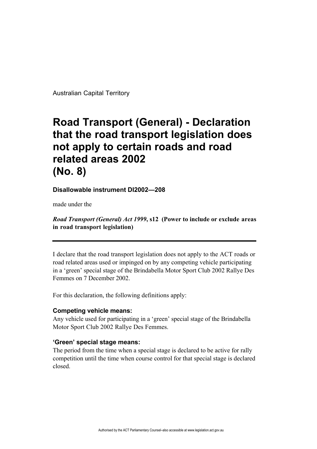Australian Capital Territory

# **Road Transport (General) - Declaration that the road transport legislation does not apply to certain roads and road related areas 2002 (No. 8)**

**Disallowable instrument DI2002—208**

made under the

# *Road Transport (General) Act 1999***, s12 (Power to include or exclude areas in road transport legislation)**

I declare that the road transport legislation does not apply to the ACT roads or road related areas used or impinged on by any competing vehicle participating in a 'green' special stage of the Brindabella Motor Sport Club 2002 Rallye Des Femmes on 7 December 2002.

For this declaration, the following definitions apply:

#### **Competing vehicle means:**

Any vehicle used for participating in a 'green' special stage of the Brindabella Motor Sport Club 2002 Rallye Des Femmes.

## **'Green' special stage means:**

The period from the time when a special stage is declared to be active for rally competition until the time when course control for that special stage is declared closed.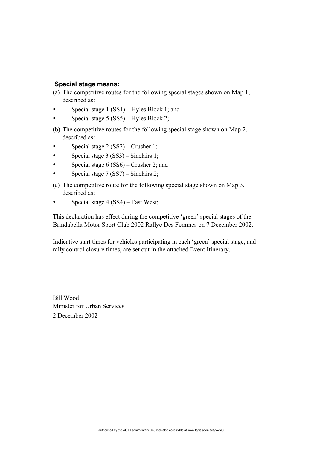### **Special stage means:**

(a) The competitive routes for the following special stages shown on Map 1, described as:

Special stage 1 (SS1) – Hyles Block 1; and Special stage 5 (SS5) – Hyles Block 2;

(b) The competitive routes for the following special stage shown on Map 2, described as:

Special stage 2 (SS2) – Crusher 1; Special stage 3 (SS3) – Sinclairs 1; Special stage 6 (SS6) – Crusher 2; and Special stage 7 (SS7) – Sinclairs 2;

(c) The competitive route for the following special stage shown on Map 3, described as:

Special stage 4 (SS4) – East West;

This declaration has effect during the competitive 'green' special stages of the Brindabella Motor Sport Club 2002 Rallye Des Femmes on 7 December 2002.

Indicative start times for vehicles participating in each 'green' special stage, and rally control closure times, are set out in the attached Event Itinerary.

Bill Wood Minister for Urban Services 2 December 2002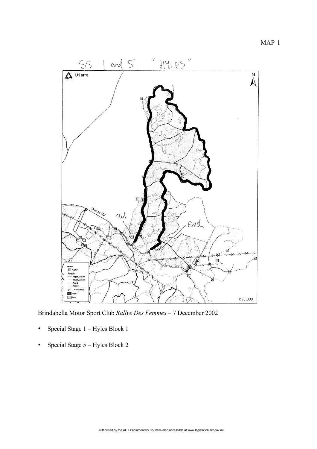MAP 1



Brindabella Motor Sport Club *Rallye Des Femmes* – 7 December 2002

Special Stage 1 – Hyles Block 1

Special Stage 5 – Hyles Block 2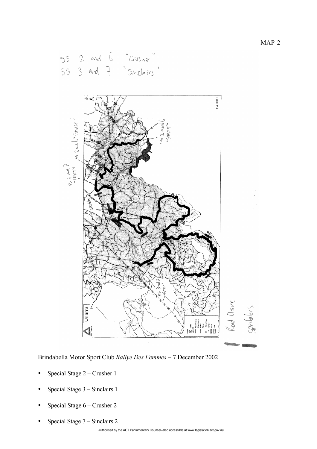55 2 and 6 "Crusher"



Brindabella Motor Sport Club *Rallye Des Femmes* – 7 December 2002

Special Stage 2 – Crusher 1

Special Stage 3 – Sinclairs 1

Special Stage 6 – Crusher 2

Special Stage 7 – Sinclairs 2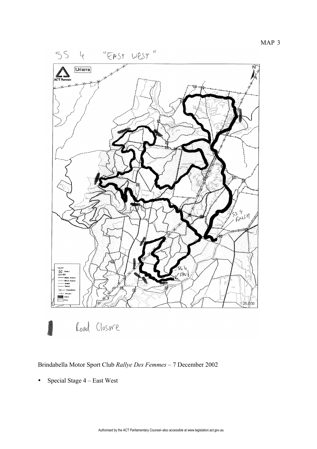



Load Closure

Brindabella Motor Sport Club *Rallye Des Femmes* – 7 December 2002

Special Stage 4 – East West